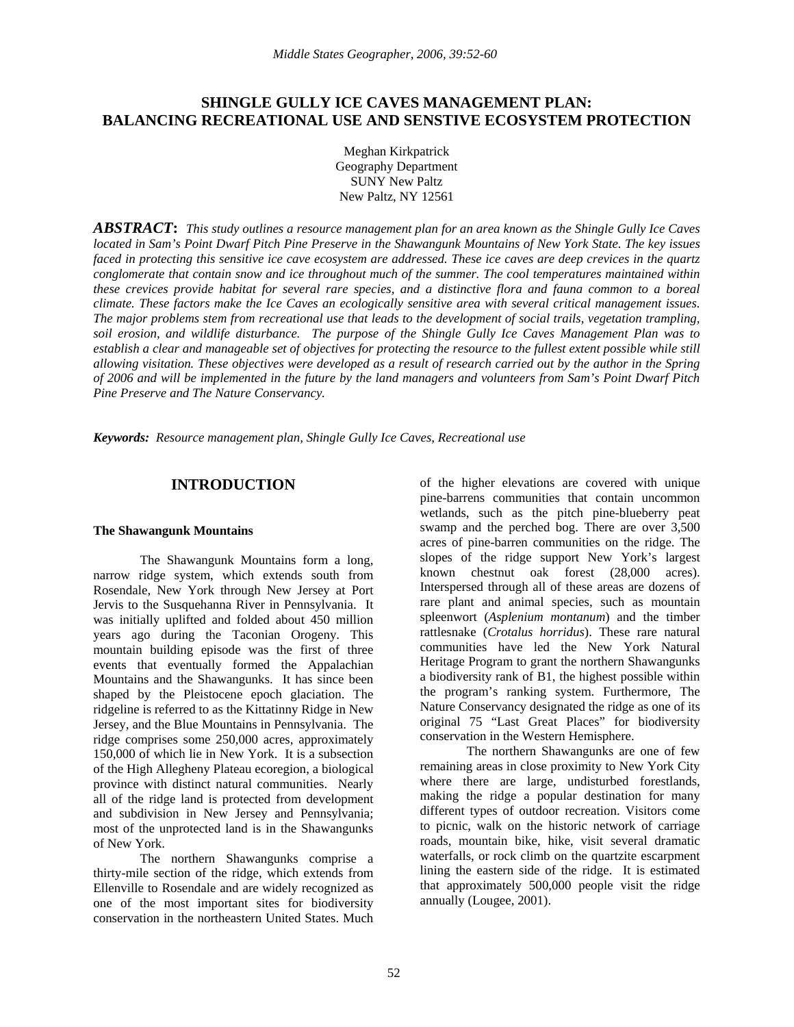## **SHINGLE GULLY ICE CAVES MANAGEMENT PLAN: BALANCING RECREATIONAL USE AND SENSTIVE ECOSYSTEM PROTECTION**

Meghan Kirkpatrick Geography Department SUNY New Paltz New Paltz, NY 12561

*ABSTRACT***:** *This study outlines a resource management plan for an area known as the Shingle Gully Ice Caves located in Sam's Point Dwarf Pitch Pine Preserve in the Shawangunk Mountains of New York State. The key issues faced in protecting this sensitive ice cave ecosystem are addressed. These ice caves are deep crevices in the quartz conglomerate that contain snow and ice throughout much of the summer. The cool temperatures maintained within these crevices provide habitat for several rare species, and a distinctive flora and fauna common to a boreal climate. These factors make the Ice Caves an ecologically sensitive area with several critical management issues. The major problems stem from recreational use that leads to the development of social trails, vegetation trampling, soil erosion, and wildlife disturbance. The purpose of the Shingle Gully Ice Caves Management Plan was to establish a clear and manageable set of objectives for protecting the resource to the fullest extent possible while still allowing visitation. These objectives were developed as a result of research carried out by the author in the Spring of 2006 and will be implemented in the future by the land managers and volunteers from Sam's Point Dwarf Pitch Pine Preserve and The Nature Conservancy.* 

*Keywords: Resource management plan, Shingle Gully Ice Caves, Recreational use*

## **INTRODUCTION**

#### **The Shawangunk Mountains**

The Shawangunk Mountains form a long, narrow ridge system, which extends south from Rosendale, New York through New Jersey at Port Jervis to the Susquehanna River in Pennsylvania. It was initially uplifted and folded about 450 million years ago during the Taconian Orogeny. This mountain building episode was the first of three events that eventually formed the Appalachian Mountains and the Shawangunks. It has since been shaped by the Pleistocene epoch glaciation. The ridgeline is referred to as the Kittatinny Ridge in New Jersey, and the Blue Mountains in Pennsylvania. The ridge comprises some 250,000 acres, approximately 150,000 of which lie in New York. It is a subsection of the High Allegheny Plateau ecoregion, a biological province with distinct natural communities. Nearly all of the ridge land is protected from development and subdivision in New Jersey and Pennsylvania; most of the unprotected land is in the Shawangunks of New York.

The northern Shawangunks comprise a thirty-mile section of the ridge, which extends from Ellenville to Rosendale and are widely recognized as one of the most important sites for biodiversity conservation in the northeastern United States. Much

of the higher elevations are covered with unique pine-barrens communities that contain uncommon wetlands, such as the pitch pine-blueberry peat swamp and the perched bog. There are over 3,500 acres of pine-barren communities on the ridge. The slopes of the ridge support New York's largest known chestnut oak forest (28,000 acres). Interspersed through all of these areas are dozens of rare plant and animal species, such as mountain spleenwort (*Asplenium montanum*) and the timber rattlesnake (*Crotalus horridus*). These rare natural communities have led the New York Natural Heritage Program to grant the northern Shawangunks a biodiversity rank of B1, the highest possible within the program's ranking system. Furthermore, The Nature Conservancy designated the ridge as one of its original 75 "Last Great Places" for biodiversity conservation in the Western Hemisphere.

 The northern Shawangunks are one of few remaining areas in close proximity to New York City where there are large, undisturbed forestlands, making the ridge a popular destination for many different types of outdoor recreation. Visitors come to picnic, walk on the historic network of carriage roads, mountain bike, hike, visit several dramatic waterfalls, or rock climb on the quartzite escarpment lining the eastern side of the ridge. It is estimated that approximately 500,000 people visit the ridge annually (Lougee, 2001).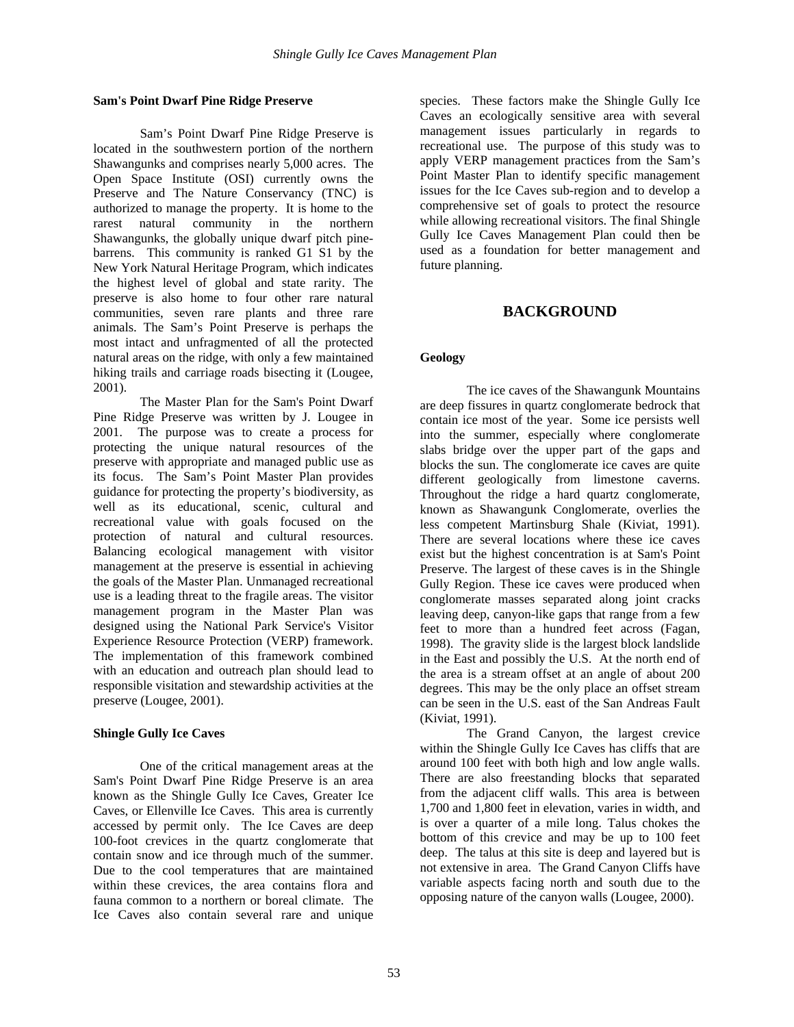### **Sam's Point Dwarf Pine Ridge Preserve**

Sam's Point Dwarf Pine Ridge Preserve is located in the southwestern portion of the northern Shawangunks and comprises nearly 5,000 acres. The Open Space Institute (OSI) currently owns the Preserve and The Nature Conservancy (TNC) is authorized to manage the property. It is home to the rarest natural community in the northern Shawangunks, the globally unique dwarf pitch pinebarrens. This community is ranked G1 S1 by the New York Natural Heritage Program, which indicates the highest level of global and state rarity. The preserve is also home to four other rare natural communities, seven rare plants and three rare animals. The Sam's Point Preserve is perhaps the most intact and unfragmented of all the protected natural areas on the ridge, with only a few maintained hiking trails and carriage roads bisecting it (Lougee, 2001).

The Master Plan for the Sam's Point Dwarf Pine Ridge Preserve was written by J. Lougee in 2001. The purpose was to create a process for protecting the unique natural resources of the preserve with appropriate and managed public use as its focus. The Sam's Point Master Plan provides guidance for protecting the property's biodiversity, as well as its educational, scenic, cultural and recreational value with goals focused on the protection of natural and cultural resources. Balancing ecological management with visitor management at the preserve is essential in achieving the goals of the Master Plan. Unmanaged recreational use is a leading threat to the fragile areas. The visitor management program in the Master Plan was designed using the National Park Service's Visitor Experience Resource Protection (VERP) framework. The implementation of this framework combined with an education and outreach plan should lead to responsible visitation and stewardship activities at the preserve (Lougee, 2001).

## **Shingle Gully Ice Caves**

One of the critical management areas at the Sam's Point Dwarf Pine Ridge Preserve is an area known as the Shingle Gully Ice Caves, Greater Ice Caves, or Ellenville Ice Caves. This area is currently accessed by permit only. The Ice Caves are deep 100-foot crevices in the quartz conglomerate that contain snow and ice through much of the summer. Due to the cool temperatures that are maintained within these crevices, the area contains flora and fauna common to a northern or boreal climate. The Ice Caves also contain several rare and unique

species. These factors make the Shingle Gully Ice Caves an ecologically sensitive area with several management issues particularly in regards to recreational use. The purpose of this study was to apply VERP management practices from the Sam's Point Master Plan to identify specific management issues for the Ice Caves sub-region and to develop a comprehensive set of goals to protect the resource while allowing recreational visitors. The final Shingle Gully Ice Caves Management Plan could then be used as a foundation for better management and future planning.

## **BACKGROUND**

## **Geology**

The ice caves of the Shawangunk Mountains are deep fissures in quartz conglomerate bedrock that contain ice most of the year. Some ice persists well into the summer, especially where conglomerate slabs bridge over the upper part of the gaps and blocks the sun. The conglomerate ice caves are quite different geologically from limestone caverns. Throughout the ridge a hard quartz conglomerate, known as Shawangunk Conglomerate, overlies the less competent Martinsburg Shale (Kiviat, 1991). There are several locations where these ice caves exist but the highest concentration is at Sam's Point Preserve. The largest of these caves is in the Shingle Gully Region. These ice caves were produced when conglomerate masses separated along joint cracks leaving deep, canyon-like gaps that range from a few feet to more than a hundred feet across (Fagan, 1998). The gravity slide is the largest block landslide in the East and possibly the U.S. At the north end of the area is a stream offset at an angle of about 200 degrees. This may be the only place an offset stream can be seen in the U.S. east of the San Andreas Fault (Kiviat, 1991).

The Grand Canyon, the largest crevice within the Shingle Gully Ice Caves has cliffs that are around 100 feet with both high and low angle walls. There are also freestanding blocks that separated from the adjacent cliff walls. This area is between 1,700 and 1,800 feet in elevation, varies in width, and is over a quarter of a mile long. Talus chokes the bottom of this crevice and may be up to 100 feet deep. The talus at this site is deep and layered but is not extensive in area. The Grand Canyon Cliffs have variable aspects facing north and south due to the opposing nature of the canyon walls (Lougee, 2000).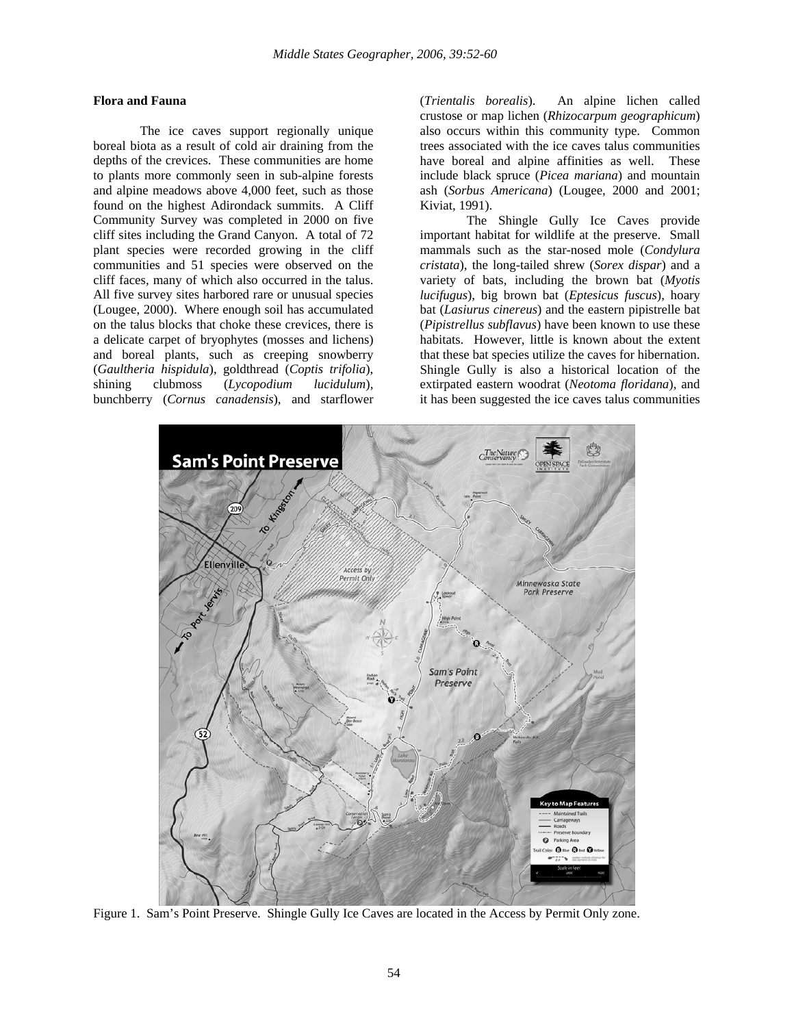### **Flora and Fauna**

The ice caves support regionally unique boreal biota as a result of cold air draining from the depths of the crevices. These communities are home to plants more commonly seen in sub-alpine forests and alpine meadows above 4,000 feet, such as those found on the highest Adirondack summits. A Cliff Community Survey was completed in 2000 on five cliff sites including the Grand Canyon. A total of 72 plant species were recorded growing in the cliff communities and 51 species were observed on the cliff faces, many of which also occurred in the talus. All five survey sites harbored rare or unusual species (Lougee, 2000). Where enough soil has accumulated on the talus blocks that choke these crevices, there is a delicate carpet of bryophytes (mosses and lichens) and boreal plants, such as creeping snowberry (*Gaultheria hispidula*), goldthread (*Coptis trifolia*), shining clubmoss (*Lycopodium lucidulum*), bunchberry (*Cornus canadensis*), and starflower

(*Trientalis borealis*). An alpine lichen called crustose or map lichen (*Rhizocarpum geographicum*) also occurs within this community type. Common trees associated with the ice caves talus communities have boreal and alpine affinities as well. These include black spruce (*Picea mariana*) and mountain ash (*Sorbus Americana*) (Lougee, 2000 and 2001; Kiviat, 1991).

The Shingle Gully Ice Caves provide important habitat for wildlife at the preserve. Small mammals such as the star-nosed mole (*Condylura cristata*), the long-tailed shrew (*Sorex dispar*) and a variety of bats, including the brown bat (*Myotis lucifugus*), big brown bat (*Eptesicus fuscus*), hoary bat (*Lasiurus cinereus*) and the eastern pipistrelle bat (*Pipistrellus subflavus*) have been known to use these habitats. However, little is known about the extent that these bat species utilize the caves for hibernation. Shingle Gully is also a historical location of the extirpated eastern woodrat (*Neotoma floridana*), and it has been suggested the ice caves talus communities



Figure 1. Sam's Point Preserve. Shingle Gully Ice Caves are located in the Access by Permit Only zone.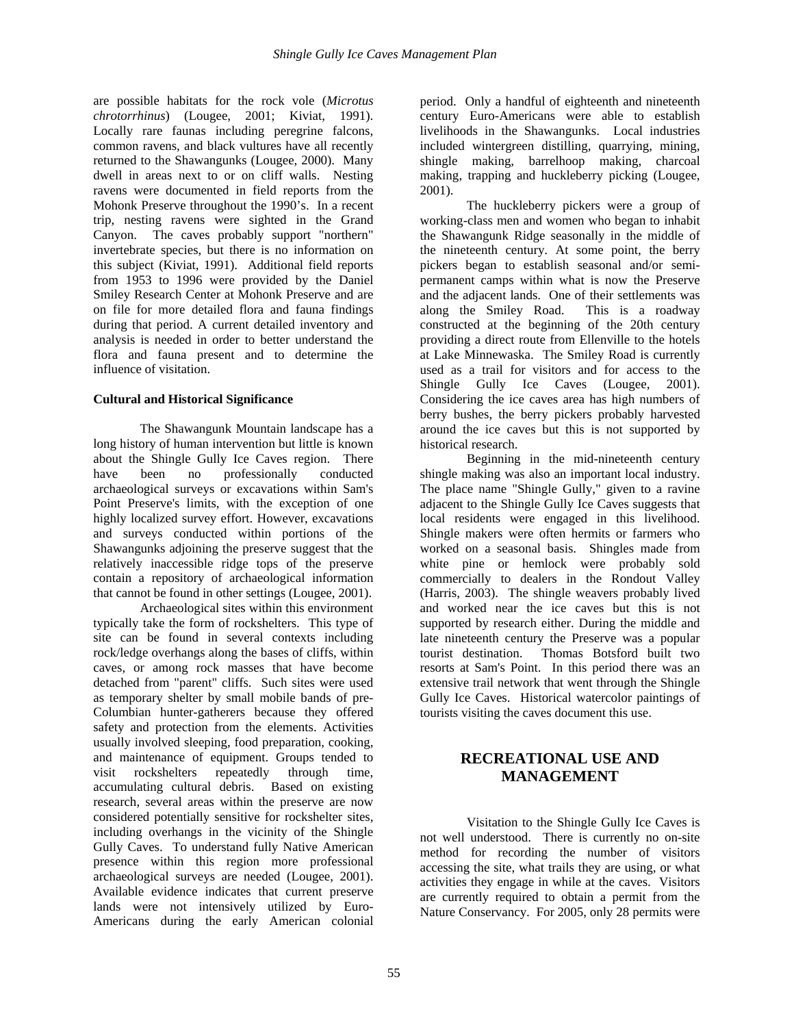are possible habitats for the rock vole (*Microtus chrotorrhinus*) (Lougee, 2001; Kiviat, 1991). Locally rare faunas including peregrine falcons, common ravens, and black vultures have all recently returned to the Shawangunks (Lougee, 2000). Many dwell in areas next to or on cliff walls. Nesting ravens were documented in field reports from the Mohonk Preserve throughout the 1990's. In a recent trip, nesting ravens were sighted in the Grand Canyon. The caves probably support "northern" invertebrate species, but there is no information on this subject (Kiviat, 1991). Additional field reports from 1953 to 1996 were provided by the Daniel Smiley Research Center at Mohonk Preserve and are on file for more detailed flora and fauna findings during that period. A current detailed inventory and analysis is needed in order to better understand the flora and fauna present and to determine the influence of visitation.

## **Cultural and Historical Significance**

The Shawangunk Mountain landscape has a long history of human intervention but little is known about the Shingle Gully Ice Caves region. There have been no professionally conducted archaeological surveys or excavations within Sam's Point Preserve's limits, with the exception of one highly localized survey effort. However, excavations and surveys conducted within portions of the Shawangunks adjoining the preserve suggest that the relatively inaccessible ridge tops of the preserve contain a repository of archaeological information that cannot be found in other settings (Lougee, 2001).

Archaeological sites within this environment typically take the form of rockshelters. This type of site can be found in several contexts including rock/ledge overhangs along the bases of cliffs, within caves, or among rock masses that have become detached from "parent" cliffs. Such sites were used as temporary shelter by small mobile bands of pre-Columbian hunter-gatherers because they offered safety and protection from the elements. Activities usually involved sleeping, food preparation, cooking, and maintenance of equipment. Groups tended to visit rockshelters repeatedly through time, accumulating cultural debris. Based on existing research, several areas within the preserve are now considered potentially sensitive for rockshelter sites, including overhangs in the vicinity of the Shingle Gully Caves. To understand fully Native American presence within this region more professional archaeological surveys are needed (Lougee, 2001). Available evidence indicates that current preserve lands were not intensively utilized by Euro-Americans during the early American colonial

period. Only a handful of eighteenth and nineteenth century Euro-Americans were able to establish livelihoods in the Shawangunks. Local industries included wintergreen distilling, quarrying, mining, shingle making, barrelhoop making, charcoal making, trapping and huckleberry picking (Lougee, 2001).

The huckleberry pickers were a group of working-class men and women who began to inhabit the Shawangunk Ridge seasonally in the middle of the nineteenth century. At some point, the berry pickers began to establish seasonal and/or semipermanent camps within what is now the Preserve and the adjacent lands. One of their settlements was along the Smiley Road. This is a roadway constructed at the beginning of the 20th century providing a direct route from Ellenville to the hotels at Lake Minnewaska. The Smiley Road is currently used as a trail for visitors and for access to the Shingle Gully Ice Caves (Lougee, 2001). Considering the ice caves area has high numbers of berry bushes, the berry pickers probably harvested around the ice caves but this is not supported by historical research.

Beginning in the mid-nineteenth century shingle making was also an important local industry. The place name "Shingle Gully," given to a ravine adjacent to the Shingle Gully Ice Caves suggests that local residents were engaged in this livelihood. Shingle makers were often hermits or farmers who worked on a seasonal basis. Shingles made from white pine or hemlock were probably sold commercially to dealers in the Rondout Valley (Harris, 2003). The shingle weavers probably lived and worked near the ice caves but this is not supported by research either. During the middle and late nineteenth century the Preserve was a popular tourist destination. Thomas Botsford built two resorts at Sam's Point. In this period there was an extensive trail network that went through the Shingle Gully Ice Caves. Historical watercolor paintings of tourists visiting the caves document this use.

# **RECREATIONAL USE AND MANAGEMENT**

Visitation to the Shingle Gully Ice Caves is not well understood. There is currently no on-site method for recording the number of visitors accessing the site, what trails they are using, or what activities they engage in while at the caves. Visitors are currently required to obtain a permit from the Nature Conservancy. For 2005, only 28 permits were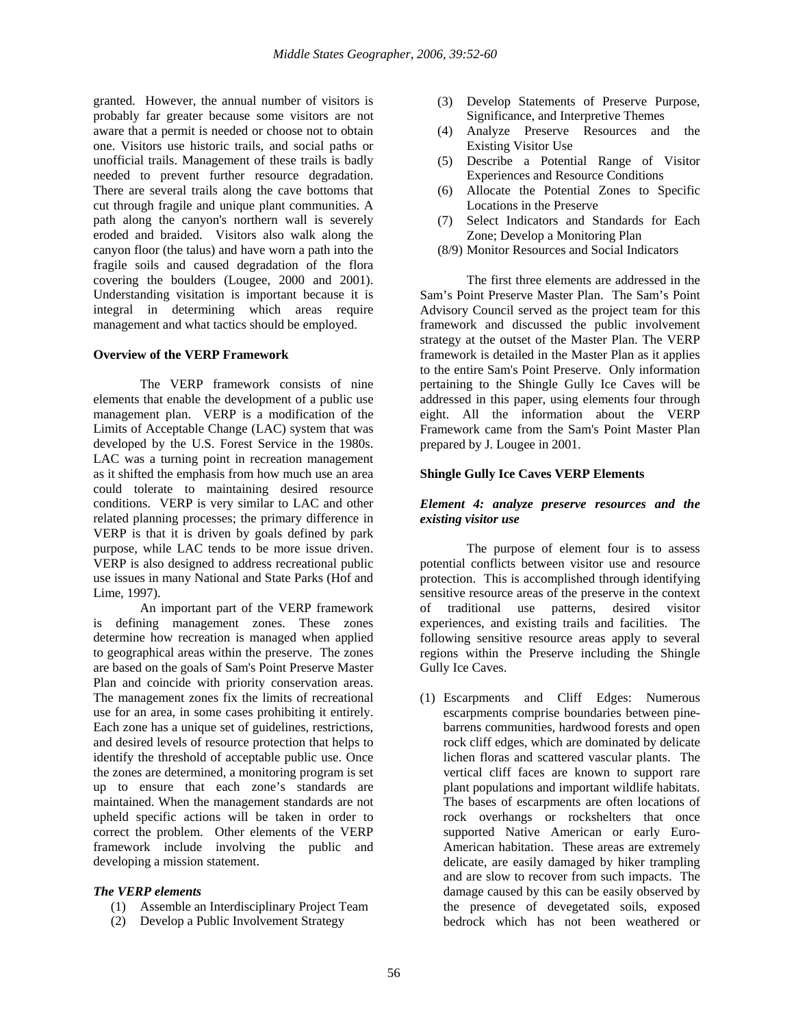granted. However, the annual number of visitors is probably far greater because some visitors are not aware that a permit is needed or choose not to obtain one. Visitors use historic trails, and social paths or unofficial trails. Management of these trails is badly needed to prevent further resource degradation. There are several trails along the cave bottoms that cut through fragile and unique plant communities. A path along the canyon's northern wall is severely eroded and braided. Visitors also walk along the canyon floor (the talus) and have worn a path into the fragile soils and caused degradation of the flora covering the boulders (Lougee, 2000 and 2001). Understanding visitation is important because it is integral in determining which areas require management and what tactics should be employed.

#### **Overview of the VERP Framework**

 The VERP framework consists of nine elements that enable the development of a public use management plan. VERP is a modification of the Limits of Acceptable Change (LAC) system that was developed by the U.S. Forest Service in the 1980s. LAC was a turning point in recreation management as it shifted the emphasis from how much use an area could tolerate to maintaining desired resource conditions. VERP is very similar to LAC and other related planning processes; the primary difference in VERP is that it is driven by goals defined by park purpose, while LAC tends to be more issue driven. VERP is also designed to address recreational public use issues in many National and State Parks (Hof and Lime, 1997).

 An important part of the VERP framework is defining management zones. These zones determine how recreation is managed when applied to geographical areas within the preserve. The zones are based on the goals of Sam's Point Preserve Master Plan and coincide with priority conservation areas. The management zones fix the limits of recreational use for an area, in some cases prohibiting it entirely. Each zone has a unique set of guidelines, restrictions, and desired levels of resource protection that helps to identify the threshold of acceptable public use. Once the zones are determined, a monitoring program is set up to ensure that each zone's standards are maintained. When the management standards are not upheld specific actions will be taken in order to correct the problem. Other elements of the VERP framework include involving the public and developing a mission statement.

#### *The VERP elements*

- (1) Assemble an Interdisciplinary Project Team
- (2) Develop a Public Involvement Strategy
- (3) Develop Statements of Preserve Purpose, Significance, and Interpretive Themes
- (4) Analyze Preserve Resources and the Existing Visitor Use
- (5) Describe a Potential Range of Visitor Experiences and Resource Conditions
- (6) Allocate the Potential Zones to Specific Locations in the Preserve
- (7) Select Indicators and Standards for Each Zone; Develop a Monitoring Plan
- (8/9) Monitor Resources and Social Indicators

 The first three elements are addressed in the Sam's Point Preserve Master Plan. The Sam's Point Advisory Council served as the project team for this framework and discussed the public involvement strategy at the outset of the Master Plan. The VERP framework is detailed in the Master Plan as it applies to the entire Sam's Point Preserve. Only information pertaining to the Shingle Gully Ice Caves will be addressed in this paper, using elements four through eight. All the information about the VERP Framework came from the Sam's Point Master Plan prepared by J. Lougee in 2001.

#### **Shingle Gully Ice Caves VERP Elements**

#### *Element 4: analyze preserve resources and the existing visitor use*

 The purpose of element four is to assess potential conflicts between visitor use and resource protection. This is accomplished through identifying sensitive resource areas of the preserve in the context of traditional use patterns, desired visitor experiences, and existing trails and facilities. The following sensitive resource areas apply to several regions within the Preserve including the Shingle Gully Ice Caves.

(1) Escarpments and Cliff Edges: Numerous escarpments comprise boundaries between pinebarrens communities, hardwood forests and open rock cliff edges, which are dominated by delicate lichen floras and scattered vascular plants. The vertical cliff faces are known to support rare plant populations and important wildlife habitats. The bases of escarpments are often locations of rock overhangs or rockshelters that once supported Native American or early Euro-American habitation. These areas are extremely delicate, are easily damaged by hiker trampling and are slow to recover from such impacts. The damage caused by this can be easily observed by the presence of devegetated soils, exposed bedrock which has not been weathered or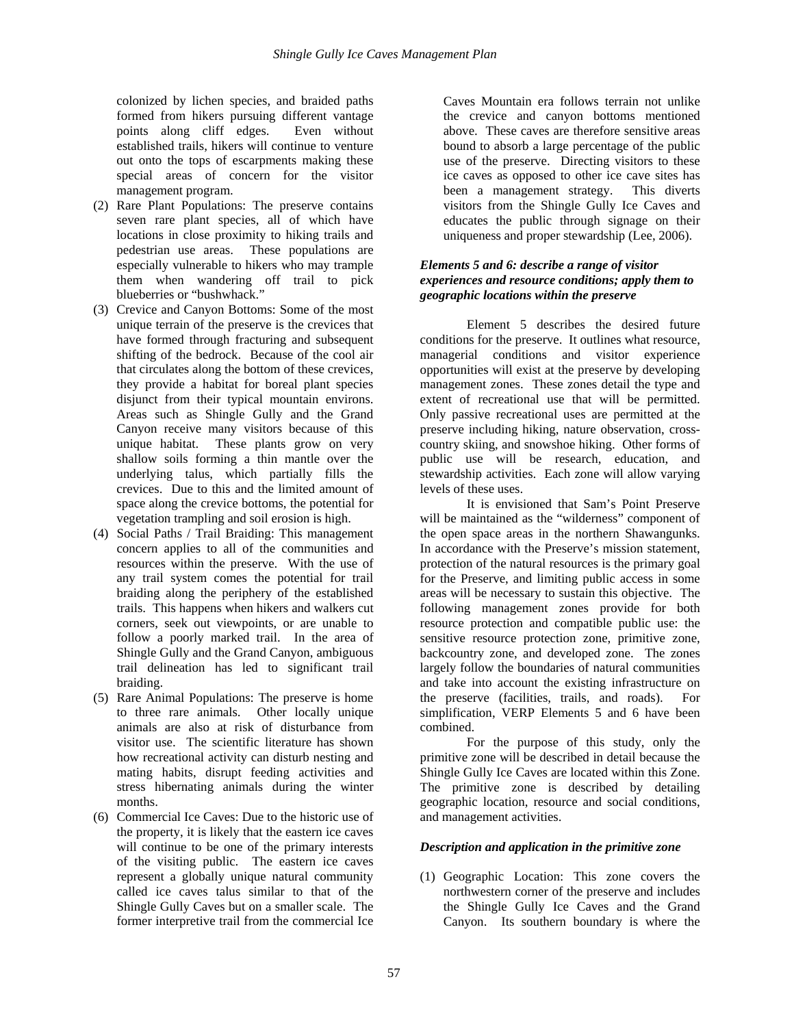colonized by lichen species, and braided paths formed from hikers pursuing different vantage points along cliff edges. Even without established trails, hikers will continue to venture out onto the tops of escarpments making these special areas of concern for the visitor management program.

- (2) Rare Plant Populations: The preserve contains seven rare plant species, all of which have locations in close proximity to hiking trails and pedestrian use areas. These populations are especially vulnerable to hikers who may trample them when wandering off trail to pick blueberries or "bushwhack."
- (3) Crevice and Canyon Bottoms: Some of the most unique terrain of the preserve is the crevices that have formed through fracturing and subsequent shifting of the bedrock. Because of the cool air that circulates along the bottom of these crevices, they provide a habitat for boreal plant species disjunct from their typical mountain environs. Areas such as Shingle Gully and the Grand Canyon receive many visitors because of this unique habitat. These plants grow on very shallow soils forming a thin mantle over the underlying talus, which partially fills the crevices. Due to this and the limited amount of space along the crevice bottoms, the potential for vegetation trampling and soil erosion is high.
- (4) Social Paths / Trail Braiding: This management concern applies to all of the communities and resources within the preserve. With the use of any trail system comes the potential for trail braiding along the periphery of the established trails. This happens when hikers and walkers cut corners, seek out viewpoints, or are unable to follow a poorly marked trail. In the area of Shingle Gully and the Grand Canyon, ambiguous trail delineation has led to significant trail braiding.
- (5) Rare Animal Populations: The preserve is home to three rare animals. Other locally unique animals are also at risk of disturbance from visitor use. The scientific literature has shown how recreational activity can disturb nesting and mating habits, disrupt feeding activities and stress hibernating animals during the winter months.
- (6) Commercial Ice Caves: Due to the historic use of the property, it is likely that the eastern ice caves will continue to be one of the primary interests of the visiting public. The eastern ice caves represent a globally unique natural community called ice caves talus similar to that of the Shingle Gully Caves but on a smaller scale. The former interpretive trail from the commercial Ice

Caves Mountain era follows terrain not unlike the crevice and canyon bottoms mentioned above. These caves are therefore sensitive areas bound to absorb a large percentage of the public use of the preserve. Directing visitors to these ice caves as opposed to other ice cave sites has been a management strategy. This diverts visitors from the Shingle Gully Ice Caves and educates the public through signage on their uniqueness and proper stewardship (Lee, 2006).

### *Elements 5 and 6: describe a range of visitor experiences and resource conditions; apply them to geographic locations within the preserve*

 Element 5 describes the desired future conditions for the preserve. It outlines what resource, managerial conditions and visitor experience opportunities will exist at the preserve by developing management zones. These zones detail the type and extent of recreational use that will be permitted. Only passive recreational uses are permitted at the preserve including hiking, nature observation, crosscountry skiing, and snowshoe hiking. Other forms of public use will be research, education, and stewardship activities. Each zone will allow varying levels of these uses.

 It is envisioned that Sam's Point Preserve will be maintained as the "wilderness" component of the open space areas in the northern Shawangunks. In accordance with the Preserve's mission statement, protection of the natural resources is the primary goal for the Preserve, and limiting public access in some areas will be necessary to sustain this objective. The following management zones provide for both resource protection and compatible public use: the sensitive resource protection zone, primitive zone, backcountry zone, and developed zone. The zones largely follow the boundaries of natural communities and take into account the existing infrastructure on the preserve (facilities, trails, and roads). For simplification, VERP Elements 5 and 6 have been combined.

 For the purpose of this study, only the primitive zone will be described in detail because the Shingle Gully Ice Caves are located within this Zone. The primitive zone is described by detailing geographic location, resource and social conditions, and management activities.

## *Description and application in the primitive zone*

(1) Geographic Location: This zone covers the northwestern corner of the preserve and includes the Shingle Gully Ice Caves and the Grand Canyon. Its southern boundary is where the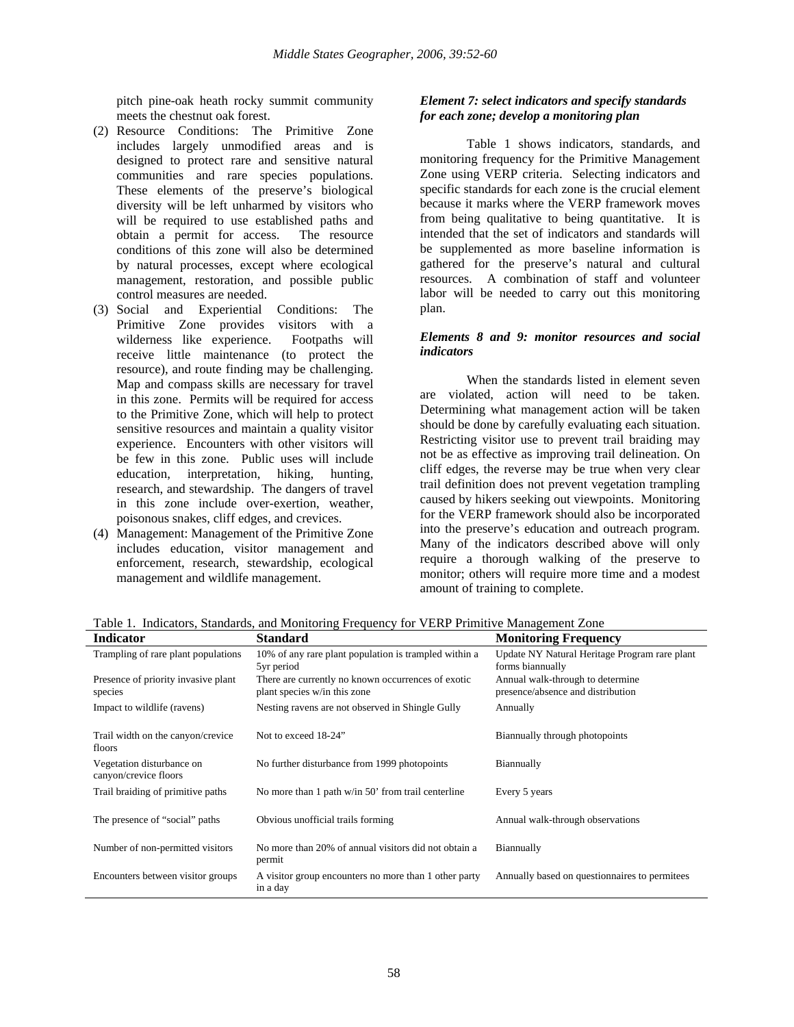pitch pine-oak heath rocky summit community meets the chestnut oak forest.

- (2) Resource Conditions: The Primitive Zone includes largely unmodified areas and is designed to protect rare and sensitive natural communities and rare species populations. These elements of the preserve's biological diversity will be left unharmed by visitors who will be required to use established paths and obtain a permit for access. The resource conditions of this zone will also be determined by natural processes, except where ecological management, restoration, and possible public control measures are needed.
- (3) Social and Experiential Conditions: The plan. Primitive Zone provides visitors with a wilderness like experience. Footpaths will receive little maintenance (to protect the resource), and route finding may be challenging. Map and compass skills are necessary for travel in this zone. Permits will be required for access to the Primitive Zone, which will help to protect sensitive resources and maintain a quality visitor experience. Encounters with other visitors will be few in this zone. Public uses will include education, interpretation, hiking, hunting, research, and stewardship. The dangers of travel in this zone include over-exertion, weather, poisonous snakes, cliff edges, and crevices.
- (4) Management: Management of the Primitive Zone includes education, visitor management and enforcement, research, stewardship, ecological management and wildlife management.

## *Element 7: select indicators and specify standards for each zone; develop a monitoring plan*

 Table 1 shows indicators, standards, and monitoring frequency for the Primitive Management Zone using VERP criteria. Selecting indicators and specific standards for each zone is the crucial element because it marks where the VERP framework moves from being qualitative to being quantitative. It is intended that the set of indicators and standards will be supplemented as more baseline information is gathered for the preserve's natural and cultural resources. A combination of staff and volunteer labor will be needed to carry out this monitoring

#### *Elements 8 and 9: monitor resources and social indicators*

When the standards listed in element seven are violated, action will need to be taken. Determining what management action will be taken should be done by carefully evaluating each situation. Restricting visitor use to prevent trail braiding may not be as effective as improving trail delineation. On cliff edges, the reverse may be true when very clear trail definition does not prevent vegetation trampling caused by hikers seeking out viewpoints. Monitoring for the VERP framework should also be incorporated into the preserve's education and outreach program. Many of the indicators described above will only require a thorough walking of the preserve to monitor; others will require more time and a modest amount of training to complete.

| <b>Indicator</b>                                   | Standard                                                                           | <b>Monitoring Frequency</b>                                           |
|----------------------------------------------------|------------------------------------------------------------------------------------|-----------------------------------------------------------------------|
| Trampling of rare plant populations                | 10% of any rare plant population is trampled within a<br>5yr period                | Update NY Natural Heritage Program rare plant<br>forms biannually     |
| Presence of priority invasive plant<br>species     | There are currently no known occurrences of exotic<br>plant species w/in this zone | Annual walk-through to determine<br>presence/absence and distribution |
| Impact to wildlife (ravens)                        | Nesting ravens are not observed in Shingle Gully                                   | Annually                                                              |
| Trail width on the canyon/crevice<br>floors        | Not to exceed 18-24"                                                               | Biannually through photopoints                                        |
| Vegetation disturbance on<br>canyon/crevice floors | No further disturbance from 1999 photopoints                                       | Biannually                                                            |
| Trail braiding of primitive paths                  | No more than 1 path w/in 50' from trail centerline                                 | Every 5 years                                                         |
| The presence of "social" paths                     | Obvious unofficial trails forming                                                  | Annual walk-through observations                                      |
| Number of non-permitted visitors                   | No more than 20% of annual visitors did not obtain a<br>permit                     | Biannually                                                            |
| Encounters between visitor groups                  | A visitor group encounters no more than 1 other party<br>in a day                  | Annually based on questionnaires to permitees                         |

Table 1. Indicators, Standards, and Monitoring Frequency for VERP Primitive Management Zone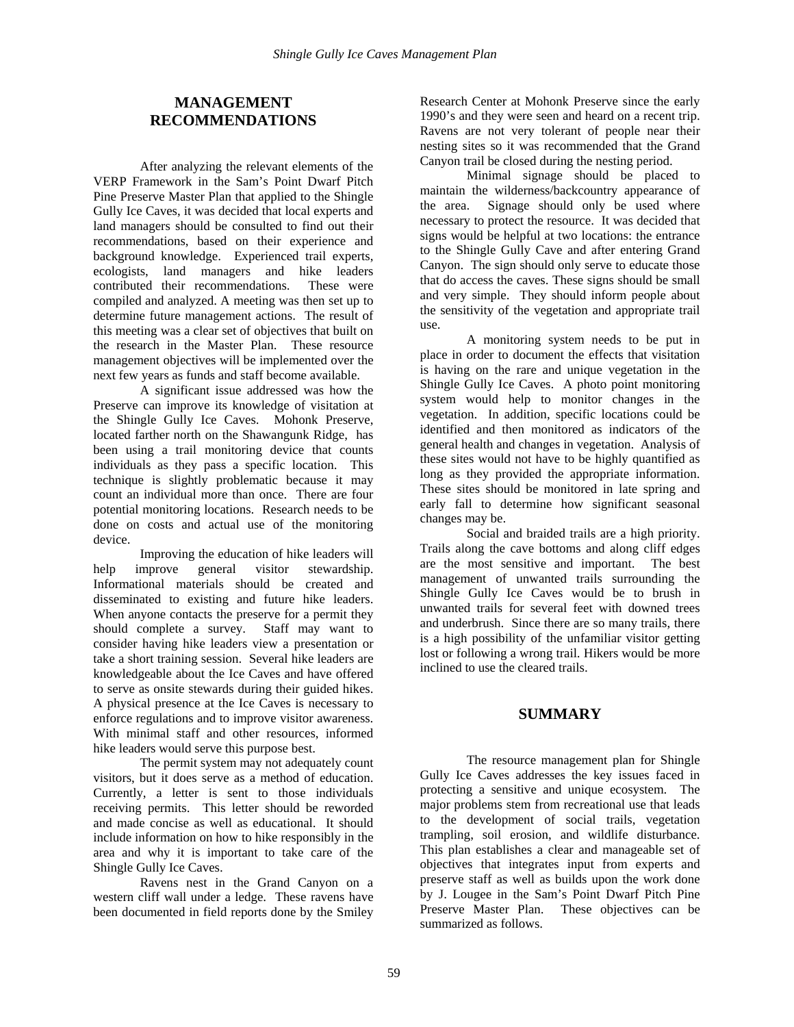## **MANAGEMENT RECOMMENDATIONS**

After analyzing the relevant elements of the VERP Framework in the Sam's Point Dwarf Pitch Pine Preserve Master Plan that applied to the Shingle Gully Ice Caves, it was decided that local experts and land managers should be consulted to find out their recommendations, based on their experience and background knowledge. Experienced trail experts, ecologists, land managers and hike leaders contributed their recommendations. These were compiled and analyzed. A meeting was then set up to determine future management actions. The result of this meeting was a clear set of objectives that built on the research in the Master Plan. These resource management objectives will be implemented over the next few years as funds and staff become available.

A significant issue addressed was how the Preserve can improve its knowledge of visitation at the Shingle Gully Ice Caves. Mohonk Preserve, located farther north on the Shawangunk Ridge, has been using a trail monitoring device that counts individuals as they pass a specific location. This technique is slightly problematic because it may count an individual more than once. There are four potential monitoring locations. Research needs to be done on costs and actual use of the monitoring device.

Improving the education of hike leaders will help improve general visitor stewardship. Informational materials should be created and disseminated to existing and future hike leaders. When anyone contacts the preserve for a permit they should complete a survey. Staff may want to consider having hike leaders view a presentation or take a short training session. Several hike leaders are knowledgeable about the Ice Caves and have offered to serve as onsite stewards during their guided hikes. A physical presence at the Ice Caves is necessary to enforce regulations and to improve visitor awareness. With minimal staff and other resources, informed hike leaders would serve this purpose best.

The permit system may not adequately count visitors, but it does serve as a method of education. Currently, a letter is sent to those individuals receiving permits. This letter should be reworded and made concise as well as educational. It should include information on how to hike responsibly in the area and why it is important to take care of the Shingle Gully Ice Caves.

Ravens nest in the Grand Canyon on a western cliff wall under a ledge. These ravens have been documented in field reports done by the Smiley

Research Center at Mohonk Preserve since the early 1990's and they were seen and heard on a recent trip. Ravens are not very tolerant of people near their nesting sites so it was recommended that the Grand Canyon trail be closed during the nesting period.

Minimal signage should be placed to maintain the wilderness/backcountry appearance of the area. Signage should only be used where necessary to protect the resource. It was decided that signs would be helpful at two locations: the entrance to the Shingle Gully Cave and after entering Grand Canyon. The sign should only serve to educate those that do access the caves. These signs should be small and very simple. They should inform people about the sensitivity of the vegetation and appropriate trail use.

A monitoring system needs to be put in place in order to document the effects that visitation is having on the rare and unique vegetation in the Shingle Gully Ice Caves. A photo point monitoring system would help to monitor changes in the vegetation. In addition, specific locations could be identified and then monitored as indicators of the general health and changes in vegetation. Analysis of these sites would not have to be highly quantified as long as they provided the appropriate information. These sites should be monitored in late spring and early fall to determine how significant seasonal changes may be.

Social and braided trails are a high priority. Trails along the cave bottoms and along cliff edges are the most sensitive and important. The best management of unwanted trails surrounding the Shingle Gully Ice Caves would be to brush in unwanted trails for several feet with downed trees and underbrush. Since there are so many trails, there is a high possibility of the unfamiliar visitor getting lost or following a wrong trail. Hikers would be more inclined to use the cleared trails.

## **SUMMARY**

The resource management plan for Shingle Gully Ice Caves addresses the key issues faced in protecting a sensitive and unique ecosystem. The major problems stem from recreational use that leads to the development of social trails, vegetation trampling, soil erosion, and wildlife disturbance. This plan establishes a clear and manageable set of objectives that integrates input from experts and preserve staff as well as builds upon the work done by J. Lougee in the Sam's Point Dwarf Pitch Pine Preserve Master Plan. These objectives can be summarized as follows.